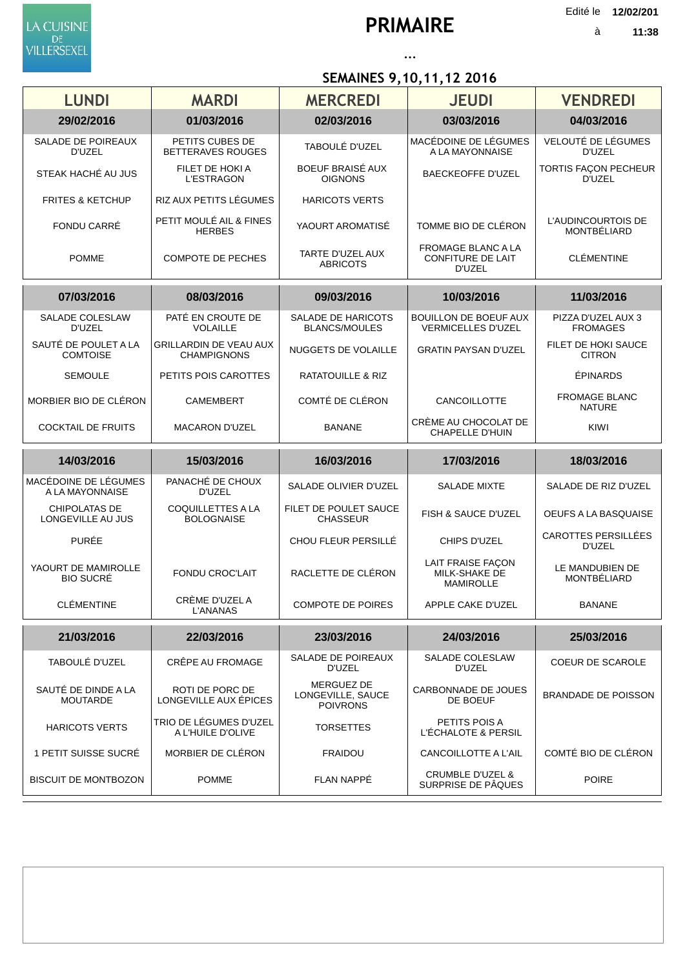LA CUISINE DE<br>VILLERSEXEL

Edité le **12/02/201**

à

## **... SEMAINES 9,10,11,12 2016**

| <b>LUNDI</b>                            | <b>MARDI</b>                                        | <b>MERCREDI</b>                                           | <b>JEUDI</b>                                                    | <b>VENDREDI</b>                             |
|-----------------------------------------|-----------------------------------------------------|-----------------------------------------------------------|-----------------------------------------------------------------|---------------------------------------------|
| 29/02/2016                              | 01/03/2016                                          | 02/03/2016                                                | 03/03/2016                                                      | 04/03/2016                                  |
| SALADE DE POIREAUX<br>D'UZEL            | PETITS CUBES DE<br><b>BETTERAVES ROUGES</b>         | TABOULÉ D'UZEL                                            | MACÉDOINE DE LÉGUMES<br>A LA MAYONNAISE                         | VELOUTÉ DE LÉGUMES<br>D'UZEL                |
| STEAK HACHÉ AU JUS                      | FILET DE HOKI A<br><b>L'ESTRAGON</b>                | BOEUF BRAISÉ AUX<br><b>OIGNONS</b>                        | <b>BAECKEOFFE D'UZEL</b>                                        | TORTIS FAÇON PECHEUR<br>D'UZEL              |
| <b>FRITES &amp; KETCHUP</b>             | RIZ AUX PETITS LÉGUMES                              | <b>HARICOTS VERTS</b>                                     |                                                                 |                                             |
| FONDU CARRÉ                             | PETIT MOULÉ AIL & FINES<br><b>HERBES</b>            | YAOURT AROMATISE                                          | TOMME BIO DE CLÉRON                                             | L'AUDINCOURTOIS DE<br>MONTBÉLIARD           |
| <b>POMME</b>                            | <b>COMPOTE DE PECHES</b>                            | TARTE D'UZEL AUX<br><b>ABRICOTS</b>                       | <b>FROMAGE BLANC A LA</b><br><b>CONFITURE DE LAIT</b><br>D'UZEL | <b>CLÉMENTINE</b>                           |
| 07/03/2016                              | 08/03/2016                                          | 09/03/2016                                                | 10/03/2016                                                      | 11/03/2016                                  |
| SALADE COLESLAW<br><b>D'UZEL</b>        | PATÉ EN CROUTE DE<br><b>VOLAILLE</b>                | <b>SALADE DE HARICOTS</b><br><b>BLANCS/MOULES</b>         | <b>BOUILLON DE BOEUF AUX</b><br><b>VERMICELLES D'UZEL</b>       | PIZZA D'UZEL AUX 3<br><b>FROMAGES</b>       |
| SAUTÉ DE POULET A LA<br><b>COMTOISE</b> | <b>GRILLARDIN DE VEAU AUX</b><br><b>CHAMPIGNONS</b> | <b>NUGGETS DE VOLAILLE</b>                                | <b>GRATIN PAYSAN D'UZEL</b>                                     | <b>FILET DE HOKI SAUCE</b><br><b>CITRON</b> |
| <b>SEMOULE</b>                          | PETITS POIS CAROTTES                                | <b>RATATOUILLE &amp; RIZ</b>                              |                                                                 | ÉPINARDS                                    |
| MORBIER BIO DE CLÉRON                   | <b>CAMEMBERT</b>                                    | COMTÉ DE CLÉRON                                           | CANCOILLOTTE                                                    | <b>FROMAGE BLANC</b><br><b>NATURE</b>       |
| <b>COCKTAIL DE FRUITS</b>               | <b>MACARON D'UZEL</b>                               | <b>BANANE</b>                                             | CRÈME AU CHOCOLAT DE<br><b>CHAPELLE D'HUIN</b>                  | KIWI                                        |
|                                         |                                                     |                                                           |                                                                 |                                             |
| 14/03/2016                              | 15/03/2016                                          | 16/03/2016                                                | 17/03/2016                                                      | 18/03/2016                                  |
| MACÉDOINE DE LÉGUMES<br>A LA MAYONNAISE | PANACHÉ DE CHOUX<br>D'UZEL                          | SALADE OLIVIER D'UZEL                                     | <b>SALADE MIXTE</b>                                             | SALADE DE RIZ D'UZEL                        |
| CHIPOLATAS DE<br>LONGEVILLE AU JUS      | <b>COQUILLETTES A LA</b><br><b>BOLOGNAISE</b>       | FILET DE POULET SAUCE<br><b>CHASSEUR</b>                  | FISH & SAUCE D'UZEL                                             | OEUFS A LA BASQUAISE                        |
| <b>PURÉE</b>                            |                                                     | CHOU FLEUR PERSILLÉ                                       | CHIPS D'UZEL                                                    | <b>CAROTTES PERSILLÉES</b><br>D'UZEL        |
| YAOURT DE MAMIROLLE<br><b>BIO SUCRÉ</b> | <b>FONDU CROC'LAIT</b>                              | RACLETTE DE CLÉRON                                        | <b>LAIT FRAISE FAÇON</b><br>MILK-SHAKE DE<br><b>MAMIROLLE</b>   | LE MANDUBIEN DE<br>MONTBÉLIARD              |
| CLÉMENTINE                              | CRÈME D'UZEL A<br><b>L'ANANAS</b>                   | COMPOTE DE POIRES                                         | APPLE CAKE D'UZEL                                               | <b>BANANE</b>                               |
| 21/03/2016                              | 22/03/2016                                          | 23/03/2016                                                | 24/03/2016                                                      | 25/03/2016                                  |
| TABOULÉ D'UZEL                          | CRÊPE AU FROMAGE                                    | SALADE DE POIREAUX<br>D'UZEL                              | SALADE COLESLAW<br>D'UZEL                                       | <b>COEUR DE SCAROLE</b>                     |
| SAUTÉ DE DINDE A LA<br><b>MOUTARDE</b>  | ROTI DE PORC DE<br>LONGEVILLE AUX ÉPICES            | <b>MERGUEZ DE</b><br>LONGEVILLE, SAUCE<br><b>POIVRONS</b> | <b>CARBONNADE DE JOUES</b><br>DE BOEUF                          | <b>BRANDADE DE POISSON</b>                  |
| <b>HARICOTS VERTS</b>                   | TRIO DE LÉGUMES D'UZEL<br>A L'HUILE D'OLIVE         | <b>TORSETTES</b>                                          | PETITS POIS A<br>L'ÉCHALOTE & PERSIL                            |                                             |
| 1 PETIT SUISSE SUCRÉ                    | MORBIER DE CLÉRON                                   | <b>FRAIDOU</b>                                            | CANCOILLOTTE A L'AIL                                            | COMTÉ BIO DE CLÉRON                         |